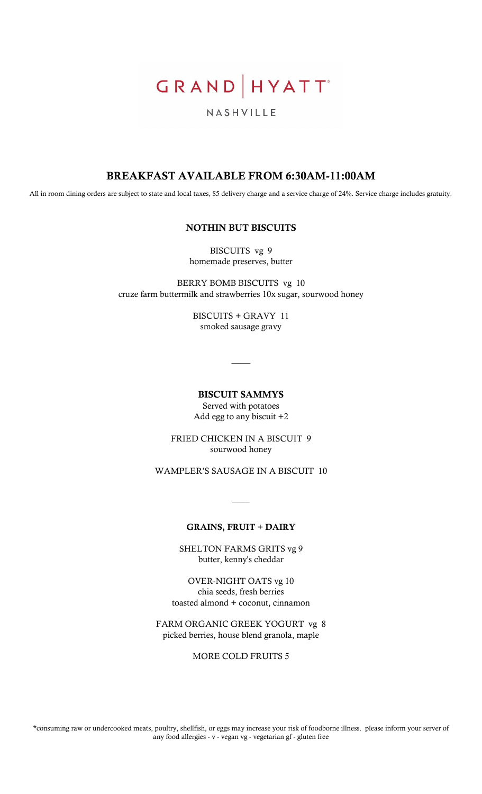GRAND HYATT

# NASHVILLE

# BREAKFAST AVAILABLE FROM 6:30AM-11:00AM

All in room dining orders are subject to state and local taxes, \$5 delivery charge and a service charge of 24%. Service charge includes gratuity.

#### NOTHIN BUT BISCUITS

BISCUITS vg 9 homemade preserves, butter

BERRY BOMB BISCUITS vg 10 cruze farm buttermilk and strawberries 10x sugar, sourwood honey

> BISCUITS + GRAVY 11 smoked sausage gravy

BISCUIT SAMMYS Served with potatoes Add egg to any biscuit +2

 $\overline{\phantom{a}}$ 

FRIED CHICKEN IN A BISCUIT 9

sourwood honey

WAMPLER'S SAUSAGE IN A BISCUIT 10

#### GRAINS, FRUIT + DAIRY

 $\overline{\phantom{a}}$ 

SHELTON FARMS GRITS vg 9 butter, kenny's cheddar

OVER-NIGHT OATS vg 10 chia seeds, fresh berries toasted almond + coconut, cinnamon

FARM ORGANIC GREEK YOGURT vg 8 picked berries, house blend granola, maple

MORE COLD FRUITS 5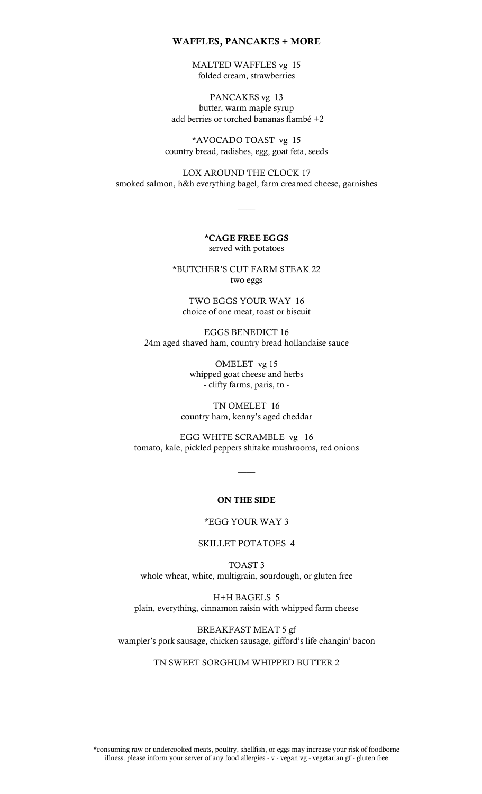#### WAFFLES, PANCAKES + MORE

MALTED WAFFLES vg 15 folded cream, strawberries

PANCAKES vg 13 butter, warm maple syrup add berries or torched bananas flambé +2

\*AVOCADO TOAST vg 15 country bread, radishes, egg, goat feta, seeds

LOX AROUND THE CLOCK 17 smoked salmon, h&h everything bagel, farm creamed cheese, garnishes

 $\overline{\phantom{a}}$ 

\*CAGE FREE EGGS served with potatoes

\*BUTCHER'S CUT FARM STEAK 22 two eggs

TWO EGGS YOUR WAY 16 choice of one meat, toast or biscuit

EGGS BENEDICT 16 24m aged shaved ham, country bread hollandaise sauce

> OMELET vg 15 whipped goat cheese and herbs - clifty farms, paris, tn -

TN OMELET 16 country ham, kenny's aged cheddar

EGG WHITE SCRAMBLE vg 16 tomato, kale, pickled peppers shitake mushrooms, red onions

 $\overline{\phantom{a}}$ 

#### ON THE SIDE

#### \*EGG YOUR WAY 3

SKILLET POTATOES 4

TOAST 3 whole wheat, white, multigrain, sourdough, or gluten free

H+H BAGELS 5 plain, everything, cinnamon raisin with whipped farm cheese

BREAKFAST MEAT 5 gf wampler's pork sausage, chicken sausage, gifford's life changin' bacon

#### TN SWEET SORGHUM WHIPPED BUTTER 2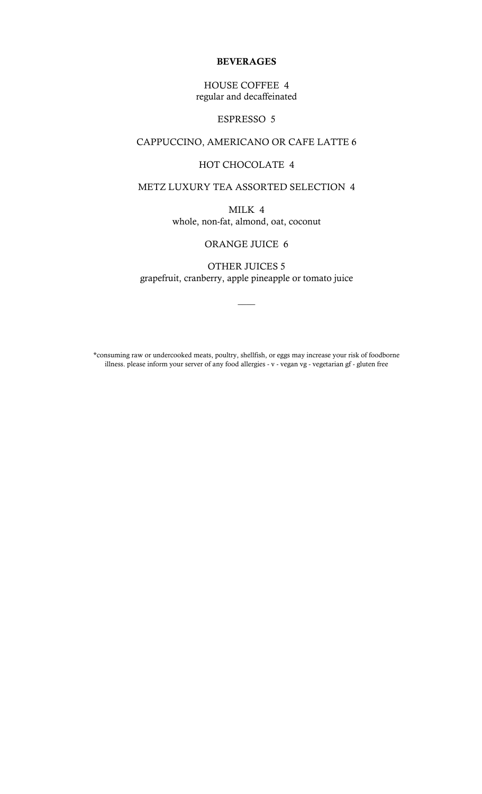#### BEVERAGES

### HOUSE COFFEE 4 regular and decaffeinated

#### ESPRESSO 5

# CAPPUCCINO, AMERICANO OR CAFE LATTE 6

### HOT CHOCOLATE 4

#### METZ LUXURY TEA ASSORTED SELECTION 4

MILK 4 whole, non-fat, almond, oat, coconut

#### ORANGE JUICE 6

OTHER JUICES 5 grapefruit, cranberry, apple pineapple or tomato juice

 $\overline{\phantom{a}}$ 

\*consuming raw or undercooked meats, poultry, shellfish, or eggs may increase your risk of foodborne illness. please inform your server of any food allergies - v - vegan vg - vegetarian gf - gluten free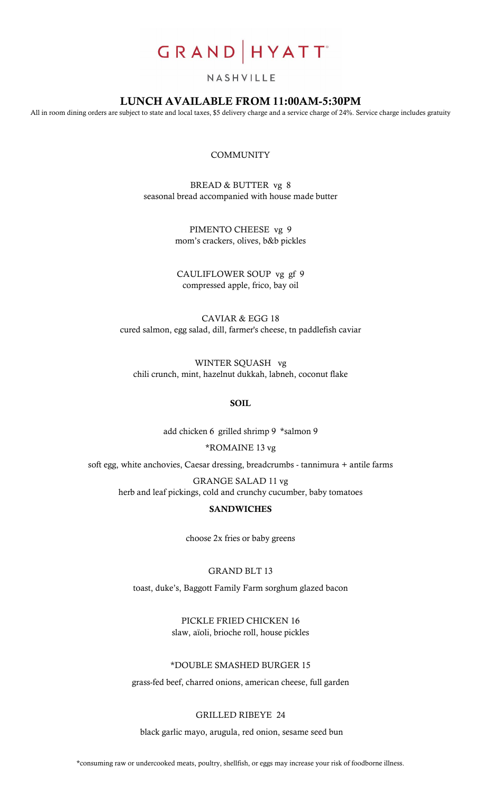# GRAND HYATT<sup>®</sup>

#### NASHVILLE

## LUNCH AVAILABLE FROM 11:00AM-5:30PM

All in room dining orders are subject to state and local taxes, \$5 delivery charge and a service charge of 24%. Service charge includes gratuity

#### **COMMUNITY**

BREAD & BUTTER vg 8 seasonal bread accompanied with house made butter

> PIMENTO CHEESE vg 9 mom's crackers, olives, b&b pickles

CAULIFLOWER SOUP vg gf 9 compressed apple, frico, bay oil

CAVIAR & EGG 18 cured salmon, egg salad, dill, farmer's cheese, tn paddlefish caviar

WINTER SQUASH vg chili crunch, mint, hazelnut dukkah, labneh, coconut flake

#### SOIL

add chicken 6 grilled shrimp 9 \*salmon 9

\*ROMAINE 13 vg

soft egg, white anchovies, Caesar dressing, breadcrumbs - tannimura + antile farms GRANGE SALAD 11 vg

herb and leaf pickings, cold and crunchy cucumber, baby tomatoes

#### **SANDWICHES**

choose 2x fries or baby greens

GRAND BLT 13

toast, duke's, Baggott Family Farm sorghum glazed bacon

PICKLE FRIED CHICKEN 16 slaw, aïoli, brioche roll, house pickles

### \*DOUBLE SMASHED BURGER 15

grass-fed beef, charred onions, american cheese, full garden

#### GRILLED RIBEYE 24

black garlic mayo, arugula, red onion, sesame seed bun

\*consuming raw or undercooked meats, poultry, shellfish, or eggs may increase your risk of foodborne illness.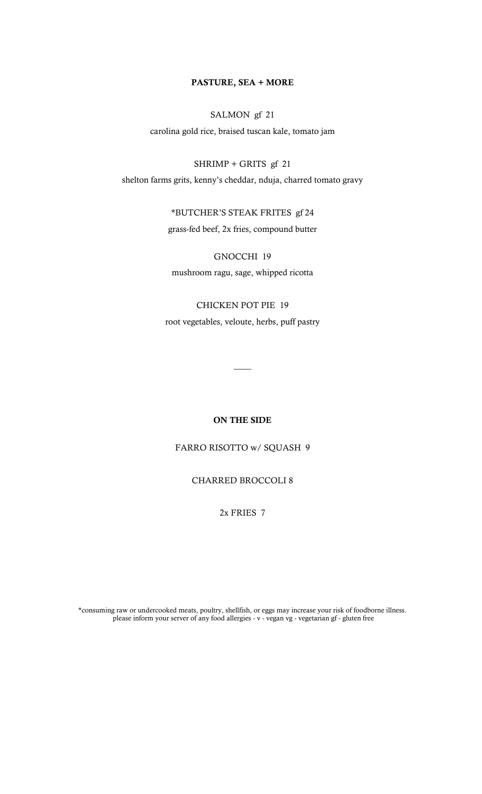#### **PASTURE, SEA + MORE**

# SALMON gf 21

carolina gold rice, braised tuscan kale, tomato jam

SHRIMP + GRITS gf 21 shelton farms grits, kenny's cheddar, nduja, charred tomato gravy

> \*BUTCHER'S STEAK FRITES gf 24 grass-fed beef, 2x fries, compound butter

GNOCCHI 19 mushroom ragu, sage, whipped ricotta

CHICKEN POT PIE 19 root vegetables, veloute, herbs, puff pastry

**ON THE SIDE**

 $\overline{\phantom{a}}$ 

FARRO RISOTTO w/ SQUASH 9

CHARRED BROCCOLI 8

2x FRIES 7

\*consuming raw or undercooked meats, poultry, shellfish, or eggs may increase your risk of foodborne illness. please inform your server of any food allergies - v - vegan vg - vegetarian gf - gluten free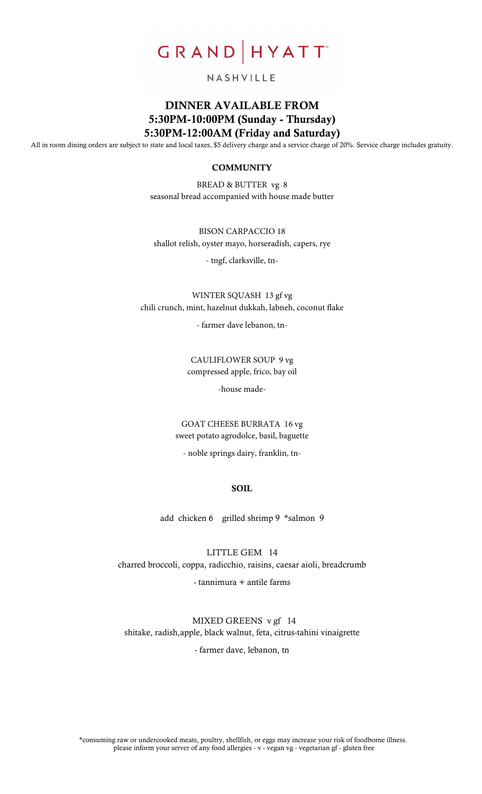

#### NASHVILLE

# DINNER AVAILABLE FROM 5:30PM-10:00PM (Sunday - Thursday) 5:30PM-12:00AM (Friday and Saturday)

All in room dining orders are subject to state and local taxes, \$5 delivery charge and a service charge of 20%. Service charge includes gratuity.

#### **COMMUNITY**

BREAD & BUTTER vg 8 seasonal bread accompanied with house made butter

BISON CARPACCIO 18 shallot relish, oyster mayo, horseradish, capers, rye

- tngf, clarksville, tn-

WINTER SQUASH 13 gf vg chili crunch, mint, hazelnut dukkah, labneh, coconut flake

- farmer dave lebanon, tn-

CAULIFLOWER SOUP 9 vg compressed apple, frico, bay oil

-house made-

GOAT CHEESE BURRATA 16 vg sweet potato agrodolce, basil, baguette

- noble springs dairy, franklin, tn-

#### **SOIL**

add chicken 6 grilled shrimp 9 \*salmon 9

LITTLE GEM 14 charred broccoli, coppa, radicchio, raisins, caesar aioli, breadcrumb

- tannimura + antile farms

 MIXED GREENS v gf 14 shitake, radish,apple, black walnut, feta, citrus-tahini vinaigrette

- farmer dave, lebanon, tn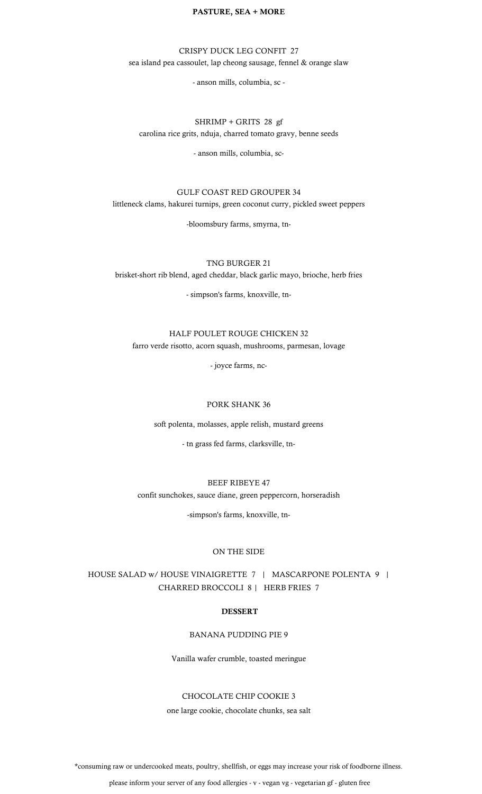#### **PASTURE, SEA + MORE**

CRISPY DUCK LEG CONFIT 27 sea island pea cassoulet, lap cheong sausage, fennel & orange slaw

- anson mills, columbia, sc -

#### SHRIMP + GRITS 28 gf carolina rice grits, nduja, charred tomato gravy, benne seeds

- anson mills, columbia, sc-

#### GULF COAST RED GROUPER 34

littleneck clams, hakurei turnips, green coconut curry, pickled sweet peppers

-bloomsbury farms, smyrna, tn-

TNG BURGER 21 brisket-short rib blend, aged cheddar, black garlic mayo, brioche, herb fries

- simpson's farms, knoxville, tn-

#### HALF POULET ROUGE CHICKEN 32 farro verde risotto, acorn squash, mushrooms, parmesan, lovage

- joyce farms, nc-

#### PORK SHANK 36

soft polenta, molasses, apple relish, mustard greens

- tn grass fed farms, clarksville, tn-

#### BEEF RIBEYE 47

confit sunchokes, sauce diane, green peppercorn, horseradish

-simpson's farms, knoxville, tn-

#### ON THE SIDE

HOUSE SALAD w/ HOUSE VINAIGRETTE 7 | MASCARPONE POLENTA 9 | CHARRED BROCCOLI 8 | HERB FRIES 7

#### DESSERT

BANANA PUDDING PIE 9

Vanilla wafer crumble, toasted meringue

#### CHOCOLATE CHIP COOKIE 3

one large cookie, chocolate chunks, sea salt

\*consuming raw or undercooked meats, poultry, shellfish, or eggs may increase your risk of foodborne illness.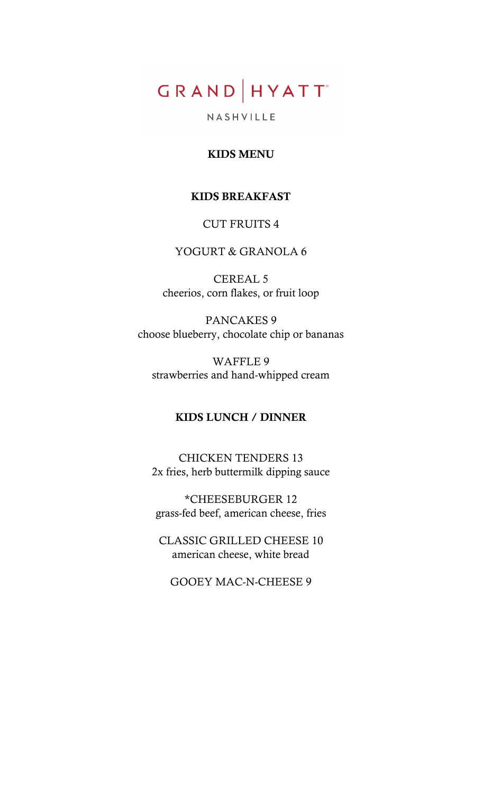# GRAND HYATT

NASHVILLE

# KIDS MENU

# KIDS BREAKFAST

# CUT FRUITS 4

# YOGURT & GRANOLA 6

CEREAL 5 cheerios, corn flakes, or fruit loop

PANCAKES 9 choose blueberry, chocolate chip or bananas

WAFFLE 9 strawberries and hand-whipped cream

# KIDS LUNCH / DINNER

CHICKEN TENDERS 13 2x fries, herb buttermilk dipping sauce

\*CHEESEBURGER 12 grass-fed beef, american cheese, fries

CLASSIC GRILLED CHEESE 10 american cheese, white bread

GOOEY MAC-N-CHEESE 9